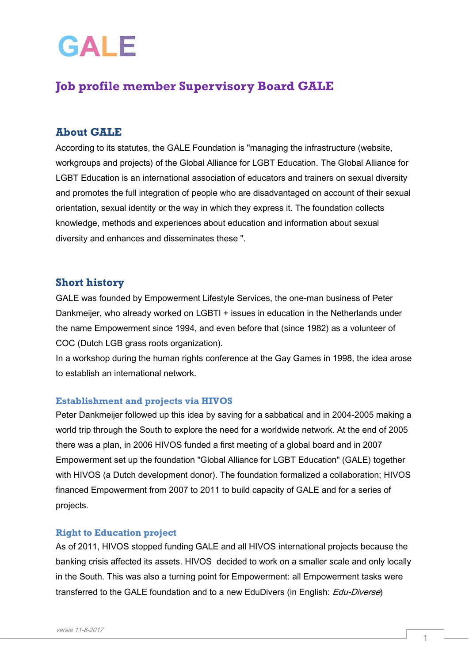# GALE

## **Job profile member Supervisory Board GALE**

### **About GALE**

According to its statutes, the GALE Foundation is "managing the infrastructure (website, workgroups and projects) of the Global Alliance for LGBT Education. The Global Alliance for LGBT Education is an international association of educators and trainers on sexual diversity and promotes the full integration of people who are disadvantaged on account of their sexual orientation, sexual identity or the way in which they express it. The foundation collects knowledge, methods and experiences about education and information about sexual diversity and enhances and disseminates these ".

#### **Short history**

GALE was founded by Empowerment Lifestyle Services, the one-man business of Peter Dankmeijer, who already worked on LGBTI + issues in education in the Netherlands under the name Empowerment since 1994, and even before that (since 1982) as a volunteer of COC (Dutch LGB grass roots organization).

In a workshop during the human rights conference at the Gay Games in 1998, the idea arose to establish an international network.

#### **Establishment and projects via HIVOS**

Peter Dankmeijer followed up this idea by saving for a sabbatical and in 2004-2005 making a world trip through the South to explore the need for a worldwide network. At the end of 2005 there was a plan, in 2006 HIVOS funded a first meeting of a global board and in 2007 Empowerment set up the foundation "Global Alliance for LGBT Education" (GALE) together with HIVOS (a Dutch development donor). The foundation formalized a collaboration; HIVOS financed Empowerment from 2007 to 2011 to build capacity of GALE and for a series of projects.

#### **Right to Education project**

As of 2011, HIVOS stopped funding GALE and all HIVOS international projects because the banking crisis affected its assets. HIVOS decided to work on a smaller scale and only locally in the South. This was also a turning point for Empowerment: all Empowerment tasks were transferred to the GALE foundation and to a new EduDivers (in English: *Edu-Diverse*)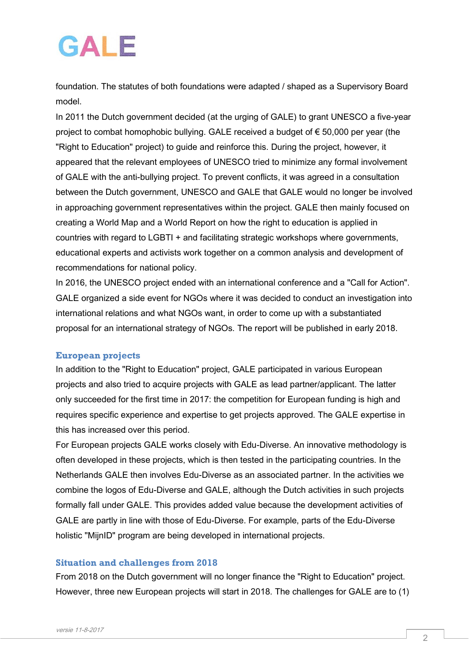## GAIF

foundation. The statutes of both foundations were adapted / shaped as a Supervisory Board model.

In 2011 the Dutch government decided (at the urging of GALE) to grant UNESCO a five-year project to combat homophobic bullying. GALE received a budget of € 50,000 per year (the "Right to Education" project) to guide and reinforce this. During the project, however, it appeared that the relevant employees of UNESCO tried to minimize any formal involvement of GALE with the anti-bullying project. To prevent conflicts, it was agreed in a consultation between the Dutch government, UNESCO and GALE that GALE would no longer be involved in approaching government representatives within the project. GALE then mainly focused on creating a World Map and a World Report on how the right to education is applied in countries with regard to LGBTI + and facilitating strategic workshops where governments, educational experts and activists work together on a common analysis and development of recommendations for national policy.

In 2016, the UNESCO project ended with an international conference and a "Call for Action". GALE organized a side event for NGOs where it was decided to conduct an investigation into international relations and what NGOs want, in order to come up with a substantiated proposal for an international strategy of NGOs. The report will be published in early 2018.

#### **European projects**

In addition to the "Right to Education" project, GALE participated in various European projects and also tried to acquire projects with GALE as lead partner/applicant. The latter only succeeded for the first time in 2017: the competition for European funding is high and requires specific experience and expertise to get projects approved. The GALE expertise in this has increased over this period.

For European projects GALE works closely with Edu-Diverse. An innovative methodology is often developed in these projects, which is then tested in the participating countries. In the Netherlands GALE then involves Edu-Diverse as an associated partner. In the activities we combine the logos of Edu-Diverse and GALE, although the Dutch activities in such projects formally fall under GALE. This provides added value because the development activities of GALE are partly in line with those of Edu-Diverse. For example, parts of the Edu-Diverse holistic "MijnID" program are being developed in international projects.

#### **Situation and challenges from 2018**

From 2018 on the Dutch government will no longer finance the "Right to Education" project. However, three new European projects will start in 2018. The challenges for GALE are to (1)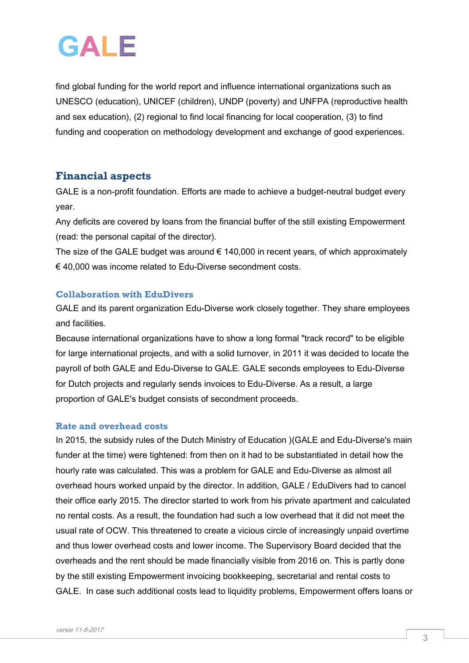## GAI F

find global funding for the world report and influence international organizations such as UNESCO (education), UNICEF (children), UNDP (poverty) and UNFPA (reproductive health and sex education), (2) regional to find local financing for local cooperation, (3) to find funding and cooperation on methodology development and exchange of good experiences.

### **Financial aspects**

GALE is a non-profit foundation. Efforts are made to achieve a budget-neutral budget every year.

Any deficits are covered by loans from the financial buffer of the still existing Empowerment (read: the personal capital of the director).

The size of the GALE budget was around  $\epsilon$  140,000 in recent years, of which approximately € 40,000 was income related to Edu-Diverse secondment costs.

#### **Collaboration with EduDivers**

GALE and its parent organization Edu-Diverse work closely together. They share employees and facilities.

Because international organizations have to show a long formal "track record" to be eligible for large international projects, and with a solid turnover, in 2011 it was decided to locate the payroll of both GALE and Edu-Diverse to GALE. GALE seconds employees to Edu-Diverse for Dutch projects and regularly sends invoices to Edu-Diverse. As a result, a large proportion of GALE's budget consists of secondment proceeds.

#### **Rate and overhead costs**

In 2015, the subsidy rules of the Dutch Ministry of Education )(GALE and Edu-Diverse's main funder at the time) were tightened: from then on it had to be substantiated in detail how the hourly rate was calculated. This was a problem for GALE and Edu-Diverse as almost all overhead hours worked unpaid by the director. In addition, GALE / EduDivers had to cancel their office early 2015. The director started to work from his private apartment and calculated no rental costs. As a result, the foundation had such a low overhead that it did not meet the usual rate of OCW. This threatened to create a vicious circle of increasingly unpaid overtime and thus lower overhead costs and lower income. The Supervisory Board decided that the overheads and the rent should be made financially visible from 2016 on. This is partly done by the still existing Empowerment invoicing bookkeeping, secretarial and rental costs to GALE. In case such additional costs lead to liquidity problems, Empowerment offers loans or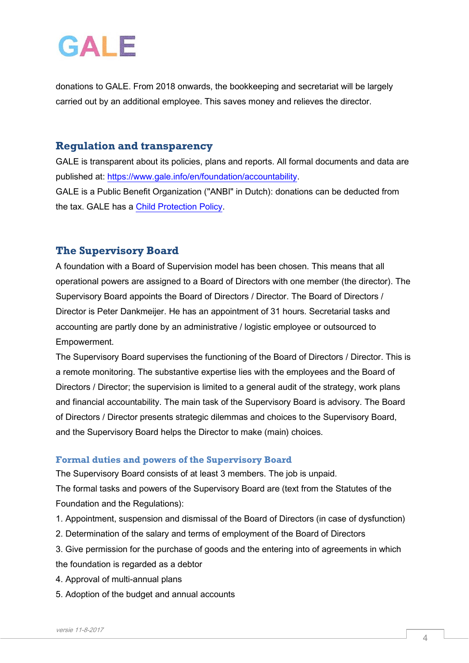## GAIF

donations to GALE. From 2018 onwards, the bookkeeping and secretariat will be largely carried out by an additional employee. This saves money and relieves the director.

### **Regulation and transparency**

GALE is transparent about its policies, plans and reports. All formal documents and data are published at: [https://www.gale.info/en/foundation/accountability.](https://www.gale.info/en/foundation/accountability) GALE is a Public Benefit Organization ("ANBI" in Dutch): donations can be deducted from the tax. GALE has a [Child Protection Policy.](https://www.gale.info/doc/accountability/GALE-Child-Protection-Policy.pdf)

### **The Supervisory Board**

A foundation with a Board of Supervision model has been chosen. This means that all operational powers are assigned to a Board of Directors with one member (the director). The Supervisory Board appoints the Board of Directors / Director. The Board of Directors / Director is Peter Dankmeijer. He has an appointment of 31 hours. Secretarial tasks and accounting are partly done by an administrative / logistic employee or outsourced to Empowerment.

The Supervisory Board supervises the functioning of the Board of Directors / Director. This is a remote monitoring. The substantive expertise lies with the employees and the Board of Directors / Director; the supervision is limited to a general audit of the strategy, work plans and financial accountability. The main task of the Supervisory Board is advisory. The Board of Directors / Director presents strategic dilemmas and choices to the Supervisory Board, and the Supervisory Board helps the Director to make (main) choices.

#### **Formal duties and powers of the Supervisory Board**

The Supervisory Board consists of at least 3 members. The job is unpaid. The formal tasks and powers of the Supervisory Board are (text from the Statutes of the Foundation and the Regulations):

- 1. Appointment, suspension and dismissal of the Board of Directors (in case of dysfunction)
- 2. Determination of the salary and terms of employment of the Board of Directors
- 3. Give permission for the purchase of goods and the entering into of agreements in which
- the foundation is regarded as a debtor
- 4. Approval of multi-annual plans
- 5. Adoption of the budget and annual accounts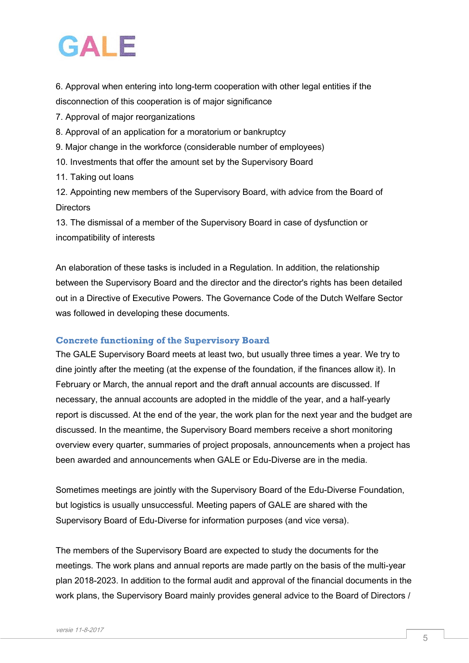## GAIF

6. Approval when entering into long-term cooperation with other legal entities if the disconnection of this cooperation is of major significance

7. Approval of major reorganizations

- 8. Approval of an application for a moratorium or bankruptcy
- 9. Major change in the workforce (considerable number of employees)
- 10. Investments that offer the amount set by the Supervisory Board
- 11. Taking out loans

12. Appointing new members of the Supervisory Board, with advice from the Board of **Directors** 

13. The dismissal of a member of the Supervisory Board in case of dysfunction or incompatibility of interests

An elaboration of these tasks is included in a Regulation. In addition, the relationship between the Supervisory Board and the director and the director's rights has been detailed out in a Directive of Executive Powers. The Governance Code of the Dutch Welfare Sector was followed in developing these documents.

#### **Concrete functioning of the Supervisory Board**

The GALE Supervisory Board meets at least two, but usually three times a year. We try to dine jointly after the meeting (at the expense of the foundation, if the finances allow it). In February or March, the annual report and the draft annual accounts are discussed. If necessary, the annual accounts are adopted in the middle of the year, and a half-yearly report is discussed. At the end of the year, the work plan for the next year and the budget are discussed. In the meantime, the Supervisory Board members receive a short monitoring overview every quarter, summaries of project proposals, announcements when a project has been awarded and announcements when GALE or Edu-Diverse are in the media.

Sometimes meetings are jointly with the Supervisory Board of the Edu-Diverse Foundation, but logistics is usually unsuccessful. Meeting papers of GALE are shared with the Supervisory Board of Edu-Diverse for information purposes (and vice versa).

The members of the Supervisory Board are expected to study the documents for the meetings. The work plans and annual reports are made partly on the basis of the multi-year plan 2018-2023. In addition to the formal audit and approval of the financial documents in the work plans, the Supervisory Board mainly provides general advice to the Board of Directors /